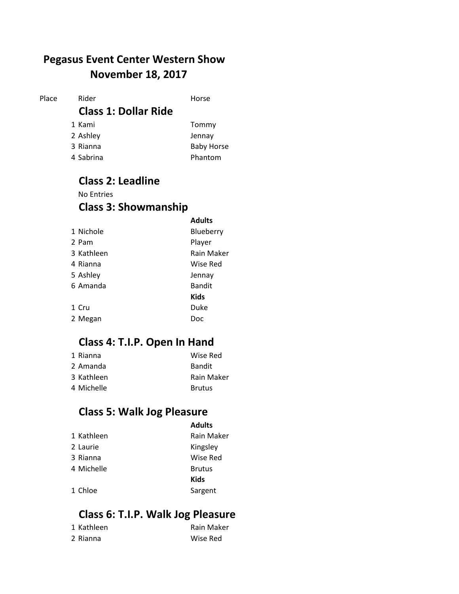### **November 18, 2017 Pegasus Event Center Western Show**

Place Rider **Horse** 

#### **Class 1: Dollar Ride**

1 Kami Tommy

- 
- 2 Ashley Jennay 3 Rianna **Baby Horse** 4 Sabrina Phantom

#### **Class 2: Leadline**  No Entries **Class 3: Showmanship**

|            | <b>Adults</b> |
|------------|---------------|
| 1 Nichole  | Blueberry     |
| 2 Pam      | Player        |
| 3 Kathleen | Rain Maker    |
| 4 Rianna   | Wise Red      |
| 5 Ashley   | Jennay        |
| 6 Amanda   | <b>Bandit</b> |
|            | Kids          |
| 1 Cru      | Duke          |
| 2 Megan    | Doc           |

### **Class 4: T.I.P. Open In Hand**

| 1 Rianna   | Wise Red      |
|------------|---------------|
| 2 Amanda   | <b>Bandit</b> |
| 3 Kathleen | Rain Maker    |
| 4 Michelle | <b>Brutus</b> |

### **Class 5: Walk Jog Pleasure**

| <b>Adults</b> |  |
|---------------|--|
| Rain Ma       |  |

| 1 Kathleen | Rain Maker    |
|------------|---------------|
| 2 Laurie   | Kingsley      |
| 3 Rianna   | Wise Red      |
| 4 Michelle | <b>Brutus</b> |
|            | Kids          |
| 1 Chloe    | Sargent       |

### **Class 6: T.I.P. Walk Jog Pleasure**

| 1 Kathleen | Rain Maker |
|------------|------------|
| 2 Rianna   | Wise Red   |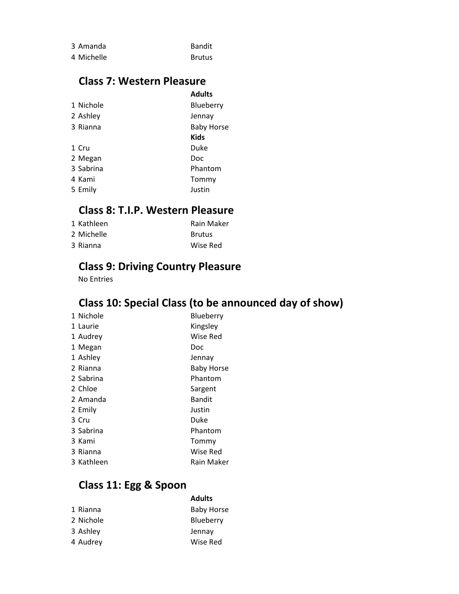| 3 Amanda   | Bandit        |
|------------|---------------|
| 4 Michelle | <b>Brutus</b> |

### **Class 7: Western Pleasure**

| <b>Adults</b>     |
|-------------------|
| Blueberry         |
| Jennay            |
| <b>Baby Horse</b> |
| <b>Kids</b>       |
| Duke              |
| Doc               |
| Phantom           |
| Tommy             |
| Justin            |
|                   |

#### **Class 8: T.I.P. Western Pleasure**

| 1 Kathleen | Rain Maker    |
|------------|---------------|
| 2 Michelle | <b>Brutus</b> |
| 3 Rianna   | Wise Red      |

### **Class 9: Driving Country Pleasure**

No Entries

### **Class 10: Special Class (to be announced day of show)**

| 1 Nichole  | Blueberry         |
|------------|-------------------|
| 1 Laurie   | Kingsley          |
| 1 Audrey   | Wise Red          |
| 1 Megan    | Doc               |
| 1 Ashley   | Jennay            |
| 2 Rianna   | <b>Baby Horse</b> |
| 2 Sabrina  | Phantom           |
| 2 Chloe    | Sargent           |
| 2 Amanda   | <b>Bandit</b>     |
| 2 Emily    | Justin            |
| 3 Cru      | Duke              |
| 3 Sabrina  | Phantom           |
| 3 Kami     | Tommy             |
| 3 Rianna   | Wise Red          |
| 3 Kathleen | Rain Maker        |
|            |                   |

### **Class 11: Egg & Spoon**

|           | <b>Adults</b>     |
|-----------|-------------------|
| 1 Rianna  | <b>Baby Horse</b> |
| 2 Nichole | Blueberry         |
| 3 Ashley  | Jennay            |
| 4 Audrey  | Wise Red          |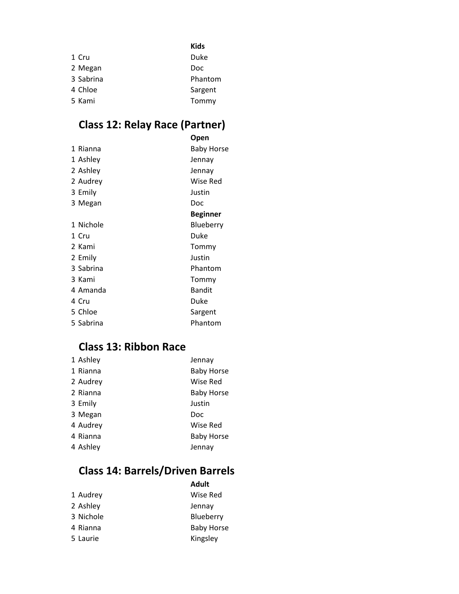|           | <b>Kids</b> |
|-----------|-------------|
| 1 Cru     | Duke        |
| 2 Megan   | Doc         |
| 3 Sabrina | Phantom     |
| 4 Chloe   | Sargent     |
| 5 Kami    | Tommy       |

# **Class 12: Relay Race (Partner)**

|           | Open              |
|-----------|-------------------|
| 1 Rianna  | <b>Baby Horse</b> |
| 1 Ashley  | Jennay            |
| 2 Ashley  | Jennay            |
| 2 Audrey  | Wise Red          |
| 3 Emily   | Justin            |
| 3 Megan   | Doc               |
|           | Beginner          |
| 1 Nichole | Blueberry         |
| 1 Cru     | Duke              |
| 2 Kami    | Tommy             |
| 2 Emily   | Justin            |
| 3 Sabrina | Phantom           |
| 3 Kami    | Tommy             |
| 4 Amanda  | <b>Bandit</b>     |
| 4 Cru     | Duke              |
| 5 Chloe   | Sargent           |
| 5 Sabrina | Phantom           |

### **Class 13: Ribbon Race**

| 1 Ashley | Jennay            |
|----------|-------------------|
| 1 Rianna | <b>Baby Horse</b> |
| 2 Audrey | Wise Red          |
| 2 Rianna | <b>Baby Horse</b> |
| 3 Emily  | Justin            |
| 3 Megan  | Doc               |
| 4 Audrey | Wise Red          |
| 4 Rianna | <b>Baby Horse</b> |
| 4 Ashley | Jennay            |
|          |                   |

# **Class 14: Barrels/Driven Barrels**

| Adult             |
|-------------------|
| Wise Red          |
| Jennay            |
| Blueberry         |
| <b>Baby Horse</b> |
| Kingsley          |
|                   |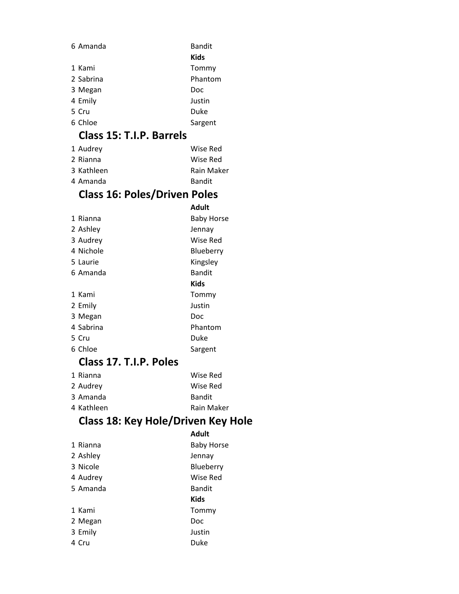| 6 Amanda                            | <b>Bandit</b>     |
|-------------------------------------|-------------------|
|                                     | <b>Kids</b>       |
| 1 Kami                              | Tommy             |
| 2 Sabrina                           | Phantom           |
| 3 Megan                             | Doc               |
| 4 Emily                             | Justin            |
| 5 Cru                               | Duke              |
| 6 Chloe                             | Sargent           |
| Class 15: T.I.P. Barrels            |                   |
| 1 Audrey                            | Wise Red          |
| 2 Rianna                            | Wise Red          |
| 3 Kathleen                          | Rain Maker        |
| 4 Amanda                            | Bandit            |
| <b>Class 16: Poles/Driven Poles</b> |                   |
|                                     | <b>Adult</b>      |
| 1 Rianna                            | <b>Baby Horse</b> |
| 2 Ashley                            | Jennay            |
| 3 Audrey                            | <b>Wise Red</b>   |
| 4 Nichole                           | Blueberry         |
| 5 Laurie                            | Kingsley          |
| 6 Amanda                            | <b>Bandit</b>     |
|                                     | <b>Kids</b>       |
| 1 Kami                              | Tommy             |
| 2 Emily                             | Justin            |

| 5 Laurie  | Kingsley      |
|-----------|---------------|
| 6 Amanda  | <b>Bandit</b> |
|           | Kids          |
| 1 Kami    | Tommy         |
| 2 Emily   | Justin        |
| 3 Megan   | Doc           |
| 4 Sabrina | Phantom       |
| 5 Cru     | Duke          |
| 6 Chloe   | Sargent       |

### **Class 17. T.I.P. Poles**

| 1 Rianna   | Wise Red      |
|------------|---------------|
| 2 Audrey   | Wise Red      |
| 3 Amanda   | <b>Bandit</b> |
| 4 Kathleen | Rain Maker    |

# **Class 18: Key Hole/Driven Key Hole**

|          | <b>Adult</b>      |
|----------|-------------------|
| 1 Rianna | <b>Baby Horse</b> |
| 2 Ashley | Jennay            |
| 3 Nicole | Blueberry         |
| 4 Audrey | Wise Red          |
| 5 Amanda | <b>Bandit</b>     |
|          | <b>Kids</b>       |
| 1 Kami   | Tommy             |
| 2 Megan  | Doc               |
| 3 Emily  | Justin            |
| 4 Cru    | Duke              |